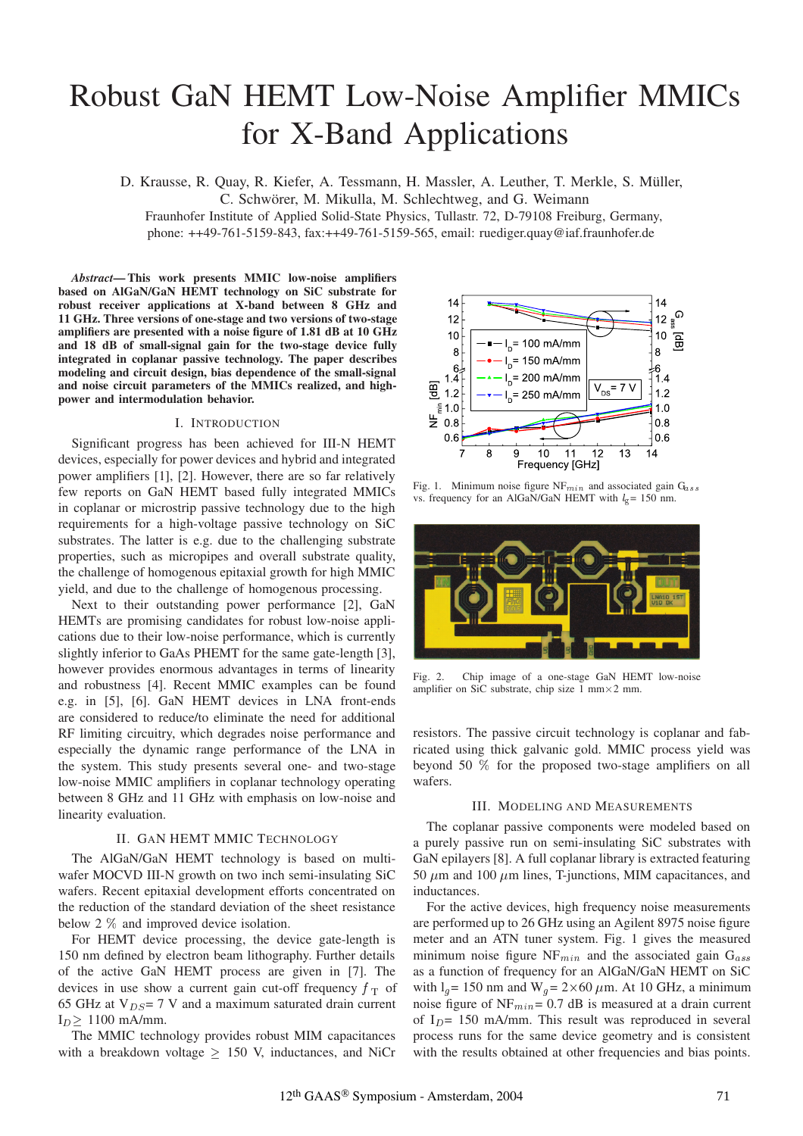# Robust GaN HEMT Low-Noise Amplifier MMICs for X-Band Applications

D. Krausse, R. Quay, R. Kiefer, A. Tessmann, H. Massler, A. Leuther, T. Merkle, S. Müller,

C. Schwörer, M. Mikulla, M. Schlechtweg, and G. Weimann

Fraunhofer Institute of Applied Solid-State Physics, Tullastr. 72, D-79108 Freiburg, Germany, phone: ++49-761-5159-843, fax:++49-761-5159-565, email: ruediger.quay@iaf.fraunhofer.de

*Abstract***— This work presents MMIC low-noise amplifiers based on AlGaN/GaN HEMT technology on SiC substrate for robust receiver applications at X-band between 8 GHz and 11 GHz. Three versions of one-stage and two versions of two-stage amplifiers are presented with a noise figure of 1.81 dB at 10 GHz and 18 dB of small-signal gain for the two-stage device fully integrated in coplanar passive technology. The paper describes modeling and circuit design, bias dependence of the small-signal and noise circuit parameters of the MMICs realized, and highpower and intermodulation behavior.**

### I. INTRODUCTION

Significant progress has been achieved for III-N HEMT devices, especially for power devices and hybrid and integrated power amplifiers [1], [2]. However, there are so far relatively few reports on GaN HEMT based fully integrated MMICs in coplanar or microstrip passive technology due to the high requirements for a high-voltage passive technology on SiC substrates. The latter is e.g. due to the challenging substrate properties, such as micropipes and overall substrate quality, the challenge of homogenous epitaxial growth for high MMIC yield, and due to the challenge of homogenous processing.

Next to their outstanding power performance [2], GaN HEMTs are promising candidates for robust low-noise applications due to their low-noise performance, which is currently slightly inferior to GaAs PHEMT for the same gate-length [3], however provides enormous advantages in terms of linearity and robustness [4]. Recent MMIC examples can be found e.g. in [5], [6]. GaN HEMT devices in LNA front-ends are considered to reduce/to eliminate the need for additional RF limiting circuitry, which degrades noise performance and especially the dynamic range performance of the LNA in the system. This study presents several one- and two-stage low-noise MMIC amplifiers in coplanar technology operating between 8 GHz and 11 GHz with emphasis on low-noise and linearity evaluation.

# II. GAN HEMT MMIC TECHNOLOGY

The AlGaN/GaN HEMT technology is based on multiwafer MOCVD III-N growth on two inch semi-insulating SiC wafers. Recent epitaxial development efforts concentrated on the reduction of the standard deviation of the sheet resistance below 2  $\%$  and improved device isolation.

For HEMT device processing, the device gate-length is 150 nm defined by electron beam lithography. Further details of the active GaN HEMT process are given in [7]. The devices in use show a current gain cut-off frequency  $f<sub>T</sub>$  of with 65 GHz at  $V_{DS} = 7$  V and a maximum saturated drain current  $I_D \geq 1100$  mA/mm.

The MMIC technology provides robust MIM capacitances with a breakdown voltage  $\geq$  150 V, inductances, and NiCr



Fig. 1. Minimum noise figure  $NF_{min}$  and associated gain  $G_{ass}$ vs. frequency for an AlGaN/GaN HEMT with  $l<sub>g</sub> = 150$  nm.



Fig. 2. Chip image of a one-stage GaN HEMT low-noise amplifier on SiC substrate, chip size  $1 \text{ mm} \times 2 \text{ mm}$ .

resistors. The passive circuit technology is coplanar and fabricated using thick galvanic gold. MMIC process yield was beyond 50  $\%$  for the proposed two-stage amplifiers on all wafers.

### III. MODELING AND MEASUREMENTS

The coplanar passive components were modeled based on a purely passive run on semi-insulating SiC substrates with GaN epilayers [8]. A full coplanar library is extracted featuring 50  $\mu$ m and 100  $\mu$ m lines, T-junctions, MIM capacitances, and inductances.

For the active devices, high frequency noise measurements are performed up to 26 GHz using an Agilent 8975 noise figure meter and an ATN tuner system. Fig. 1 gives the measured minimum noise figure NF $_{min}$  and the associated gain  $G_{ass}$ as a function of frequency for an AlGaN/GaN HEMT on SiC with  $l_g$  = 150 nm and W  $_q$  = 2×60  $\mu$ m. At 10 GHz, a minimum noise figure of  $NF_{min} = 0.7$  dB is measured at a drain current of  $I<sub>D</sub>$  = 150 mA/mm. This result was reproduced in several process runs for the same device geometry and is consistent with the results obtained at other frequencies and bias points.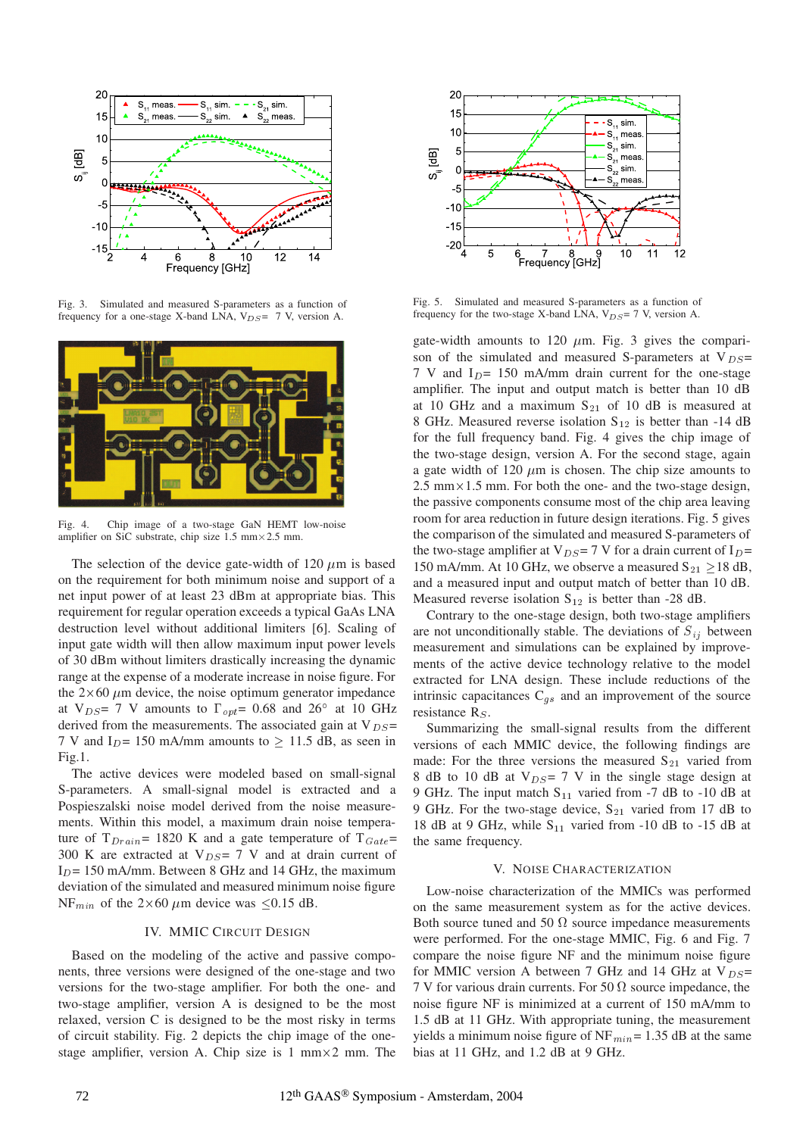

Fig. 3. Simulated and measured S-parameters as a function of frequency for a one-stage X-band LNA,  $V_{DS}$ = 7 V, version A.



Fig. 4. Chip image of a two-stage GaN HEMT low-noise amplifier on SiC substrate, chip size  $1.5$  mm $\times$  2.5 mm.

The selection of the device gate-width of 120  $\mu$ m is based on the requirement for both minimum noise and support of a net input power of at least 23 dBm at appropriate bias. This requirement for regular operation exceeds a typical GaAs LNA destruction level without additional limiters [6]. Scaling of input gate width will then allow maximum input power levels of 30 dBm without limiters drastically increasing the dynamic range at the expense of a moderate increase in noise figure. For the  $2\times60 \ \mu m$  device, the noise optimum generator impedance at  $V_{DS}$  = 7 V amounts to  $\Gamma_{opt}$  = 0.68 and 26° at 10 GHz derived from the measurements. The associated gain at  $V_{DS}$  = 7 V and I<sub>D</sub>= 150 mA/mm amounts to  $\geq$  11.5 dB, as seen in Fig.1.

The active devices were modeled based on small-signal S-parameters. A small-signal model is extracted and a Pospieszalski noise model derived from the noise measurements. Within this model, a maximum drain noise temperature of  $T_{Drain}$  = 1820 K and a gate temperature of  $T_{Gate}$  = 300 K are extracted at  $V_{DS} = 7$  V and at drain current of  $I<sub>D</sub>= 150$  mA/mm. Between 8 GHz and 14 GHz, the maximum deviation of the simulated and measured minimum noise figure NF<sub>min</sub> of the 2×60  $\mu$ m device was  $\leq$ 0.15 dB.

## IV. MMIC CIRCUIT DESIGN

Based on the modeling of the active and passive components, three versions were designed of the one-stage and two versions for the two-stage amplifier. For both the one- and two-stage amplifier, version A is designed to be the most relaxed, version C is designed to be the most risky in terms of circuit stability. Fig. 2 depicts the chip image of the onestage amplifier, version A. Chip size is  $1 \text{ mm} \times 2 \text{ mm}$ . The



Fig. 5. Simulated and measured S-parameters as a function of frequency for the two-stage X-band LNA,  $V_{DS}$  = 7 V, version A.

gate-width amounts to 120  $\mu$ m. Fig. 3 gives the comparison of the simulated and measured S-parameters at  $V_{DS}$ = 7 V and  $I_D$ = 150 mA/mm drain current for the one-stage amplifier. The input and output match is better than 10 dB at 10 GHz and a maximum  $S_{21}$  of 10 dB is measured at 8 GHz. Measured reverse isolation  $S_{12}$  is better than -14 dB for the full frequency band. Fig. 4 gives the chip image of the two-stage design, version A. For the second stage, again a gate width of 120  $\mu$ m is chosen. The chip size amounts to  $2.5$  mm $\times$ 1.5 mm. For both the one- and the two-stage design, the passive components consume most of the chip area leaving room for area reduction in future design iterations. Fig. 5 gives the comparison of the simulated and measured S-parameters of the two-stage amplifier at V<sub>DS</sub> = 7 V for a drain current of I<sub>D</sub>= 150 mA/mm. At 10 GHz, we observe a measured  $S_{21} \ge 18$  dB, and a measured input and output match of better than 10 dB. Measured reverse isolation  $S_{12}$  is better than -28 dB.

Contrary to the one-stage design, both two-stage amplifiers are not unconditionally stable. The deviations of  $S_{ij}$  between measurement and simulations can be explained by improvements of the active device technology relative to the model extracted for LNA design. These include reductions of the intrinsic capacitances  $C_{gs}$  and an improvement of the source resistance  $R_S$ .

Summarizing the small-signal results from the different versions of each MMIC device, the following findings are made: For the three versions the measured  $S_{21}$  varied from 8 dB to 10 dB at  $V_{DS} = 7$  V in the single stage design at 9 GHz. The input match  $S_{11}$  varied from -7 dB to -10 dB at 9 GHz. For the two-stage device,  $S_{21}$  varied from 17 dB to 18 dB at 9 GHz, while  $S_{11}$  varied from -10 dB to -15 dB at the same frequency.

### V. NOISE CHARACTERIZATION

Low-noise characterization of the MMICs was performed on the same measurement system as for the active devices. Both source tuned and 50  $\Omega$  source impedance measurements were performed. For the one-stage MMIC, Fig. 6 and Fig. 7 compare the noise figure NF and the minimum noise figure for MMIC version A between 7 GHz and 14 GHz at  $V_{DS}$ = 7 V for various drain currents. For 50  $\Omega$  source impedance, the noise figure NF is minimized at a current of 150 mA/mm to 1.5 dB at 11 GHz. With appropriate tuning, the measurement yields a minimum noise figure of  $NF_{min} = 1.35$  dB at the same bias at 11 GHz, and 1.2 dB at 9 GHz.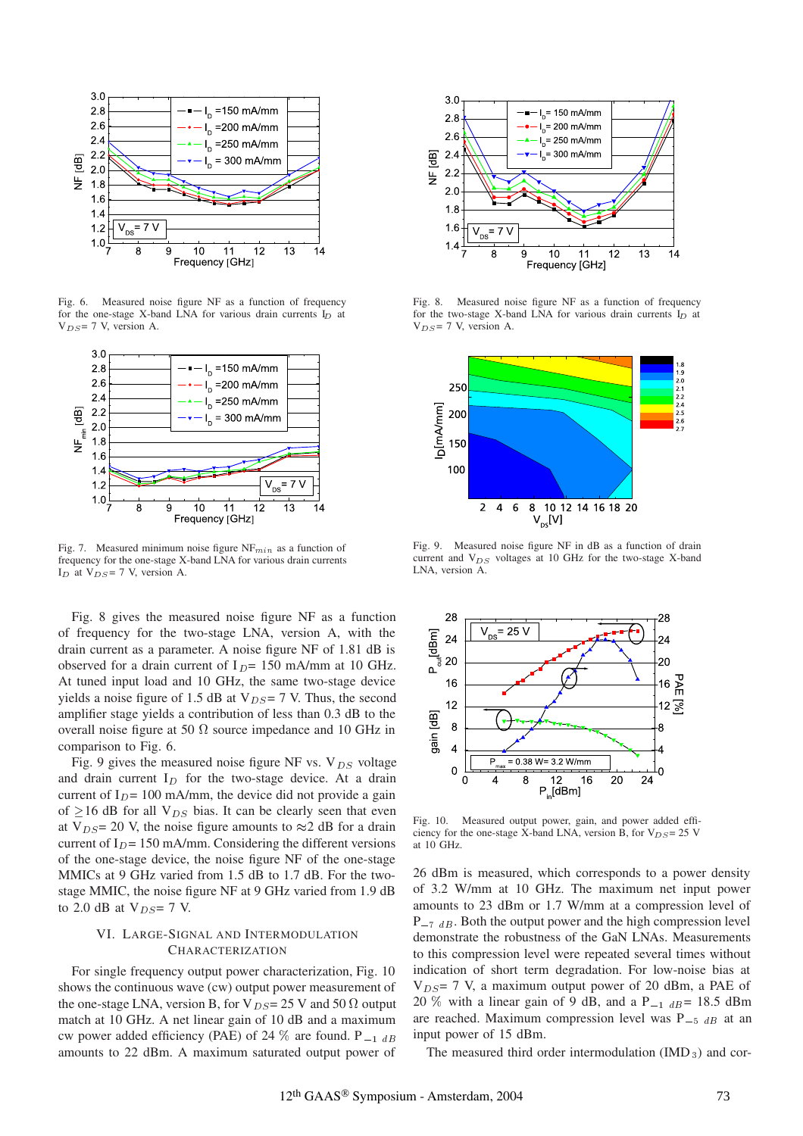

Fig. 6. Measured noise figure NF as a function of frequency for the one-stage X-band LNA for various drain currents  $I_D$  at  $V_{DS}$ = 7 V, version A.



Fig. 7. Measured minimum noise figure  $NF_{min}$  as a function of frequency for the one-stage X-band LNA for various drain currents  $I_D$  at  $V_{DS}$  = 7 V, version A.

Fig. 8 gives the measured noise figure NF as a function of frequency for the two-stage LNA, version A, with the drain current as a parameter. A noise figure NF of 1.81 dB is observed for a drain current of  $I_D$ = 150 mA/mm at 10 GHz. At tuned input load and 10 GHz, the same two-stage device yields a noise figure of 1.5 dB at  $V_{DS} = 7$  V. Thus, the second amplifier stage yields a contribution of less than 0.3 dB to the overall noise figure at 50  $\Omega$  source impedance and 10 GHz in comparison to Fig. 6.

Fig. 9 gives the measured noise figure NF vs.  $V_{DS}$  voltage and drain current  $I_D$  for the two-stage device. At a drain current of  $I_D$ = 100 mA/mm, the device did not provide a gain of  $\geq$ 16 dB for all V<sub>DS</sub> bias. It can be clearly seen that even at V<sub>DS</sub> = 20 V, the noise figure amounts to  $\approx$  2 dB for a drain current of  $I_D$ = 150 mA/mm. Considering the different versions of the one-stage device, the noise figure NF of the one-stage MMICs at 9 GHz varied from 1.5 dB to 1.7 dB. For the twostage MMIC, the noise figure NF at 9 GHz varied from 1.9 dB to 2.0 dB at  $V_{DS}$ = 7 V.

## VI. LARGE-SIGNAL AND INTERMODULATION **CHARACTERIZATION**

For single frequency output power characterization, Fig. 10 shows the continuous wave (cw) output power measurement of the one-stage LNA, version B, for V<sub>DS</sub> = 25 V and 50  $\Omega$  output match at 10 GHz. A net linear gain of 10 dB and a maximum cw power added efficiency (PAE) of 24  $\%$  are found. P  $_{-1}$   $_{dB}$ amounts to 22 dBm. A maximum saturated output power of



Fig. 8. Measured noise figure NF as a function of frequency for the two-stage X-band LNA for various drain currents  $I_D$  at  $V_{DS}$ = 7 V, version A.



Fig. 9. Measured noise figure NF in dB as a function of drain current and  $V_{DS}$  voltages at 10 GHz for the two-stage X-band LNA, version A.



Fig. 10. Measured output power, gain, and power added efficiency for the one-stage X-band LNA, version B, for  $V_{DS} = 25$  V at 10 GHz.

26 dBm is measured, which corresponds to a power density of 3.2 W/mm at 10 GHz. The maximum net input power amounts to 23 dBm or 1.7 W/mm at a compression level of  $P_{-7}$   $_{dB}$ . Both the output power and the high compression level demonstrate the robustness of the GaN LNAs. Measurements to this compression level were repeated several times without indication of short term degradation. For low-noise bias at  $V_{DS}$  = 7 V, a maximum output power of 20 dBm, a PAE of 20 % with a linear gain of 9 dB, and a  $P_{-1}$   $_{dB} = 18.5$  dBm are reached. Maximum compression level was  $P_{-5}$   $_{dB}$  at an input power of 15 dBm.

The measured third order intermodulation  $(MD_3)$  and cor-